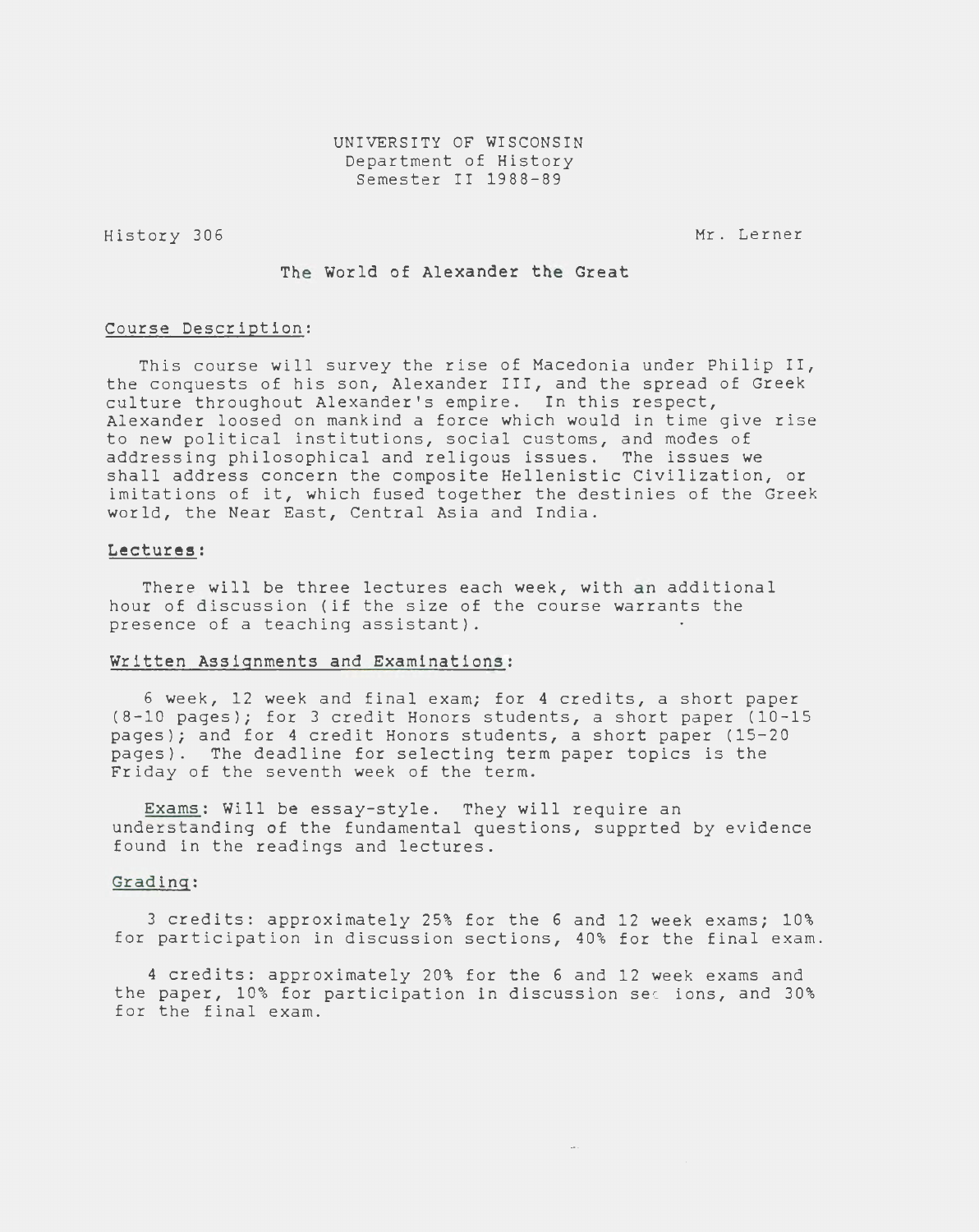History 306

Mr. Lerner

The World of Alexander the Great

#### Course Description:

This course will survey the rise of Macedonia under Philip II, the conquests of his son, Alexander III, and the spread of Greek culture throughout Alexander's empire. In this respect, Alexander loosed on mankind a force which would in time give rise to new political institutions, social customs, and modes of addressing philosophical and religous issues. The issues we shall address concern the composite Hellenistic Civilization, or imitations of it, which fused together the destinies of the Greek world, the Near East, Central Asia and India.

### Lectures:

There will be three lectures each week, with an additional hour of discussion (if the size of the course warrants the presence of a teaching assistant).

#### Written Assignments and Examinations:

6 week, 12 week and final exam; for 4 credits, a short paper (8-10 pages); for 3 credit Honors students, a short paper (10-15 pages); and for 4 credit Honors students, a short paper (15-20 pages). The deadline for selecting term paper topics is the Friday of the seventh week of the term.

Exams: Will be essay-style. They will require an understanding of the fundamental questions, supprted by evidence found in the readings and lectures.

### Grading:

3 credits: approximately 25% for the 6 and 12 week exams; 10% for participation in discussion sections, 40% for the final exam.

4 credits: approximately 20% for the 6 and 12 week exams and the paper, 10% for participation in discussion sec ions, and 30% for the final exam.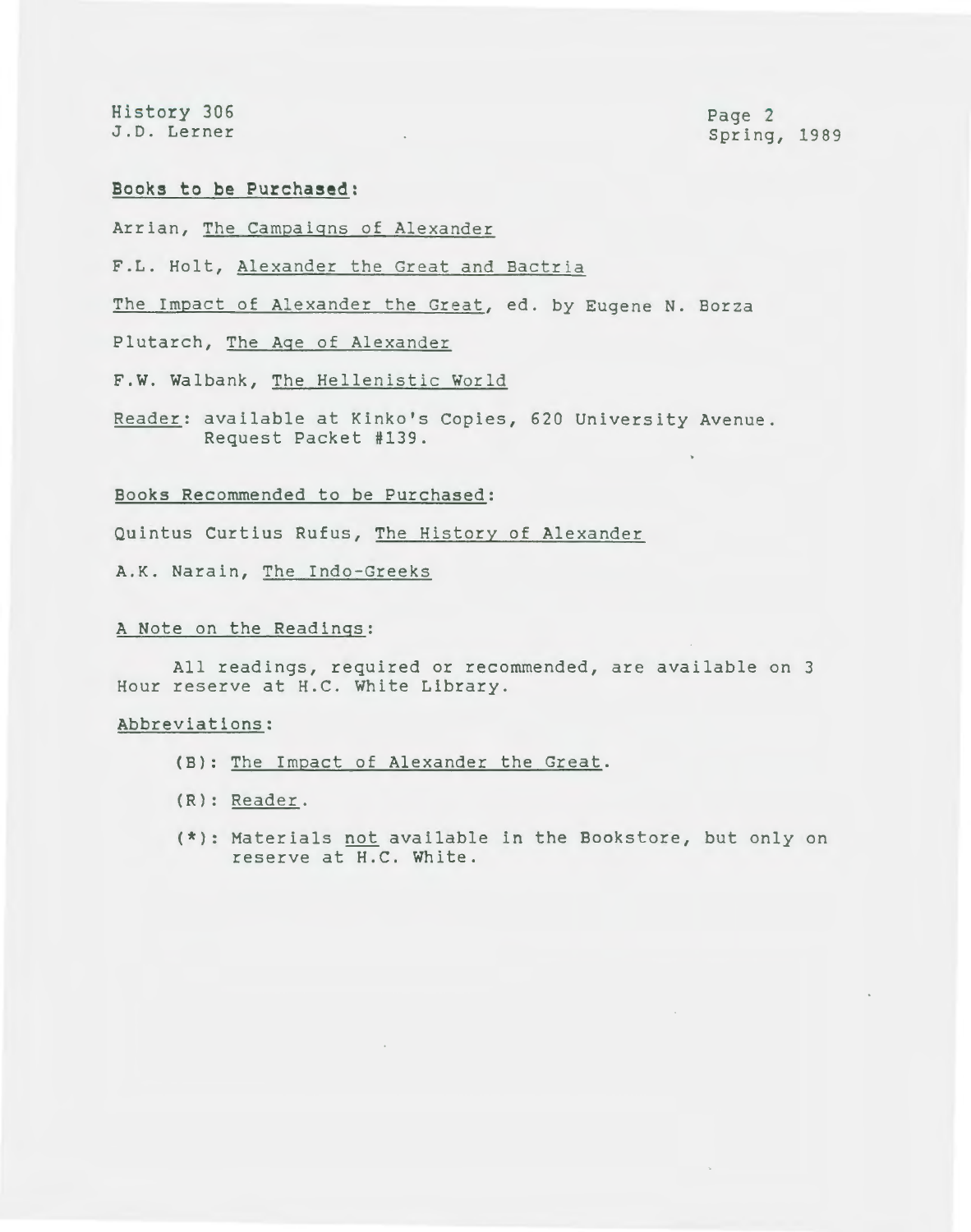History 306 J.D. Lerner

Page 2 Spring, 1989

# **Books to be Purchased:**

Arrian, The Campaigns of Alexander

F.L. Holt, Alexander the Great and Bactria

The Impact of Alexander the Great, ed. by Eugene N. Borza

Plutarch, The Age of Alexander

F.W. Walbank, The Hellenistic World

Reader: available at Kinko's Copies, 620 University Avenue. Request Packet #139.

## Books Recommended to be Purchased:

Quintus Curtius Rufus, The History of Alexander

A.K. Narain, The Indo-Greeks

### A Note on the Readings:

All readings, required or recommended, are available on 3 Hour reserve at H.C. White Library.

### Abbreviations:

- (B): The Impact of Alexander the Great.
- (R): Reader.
- (\*): Materials not available in the Bookstore, but only on reserve at H.C. White.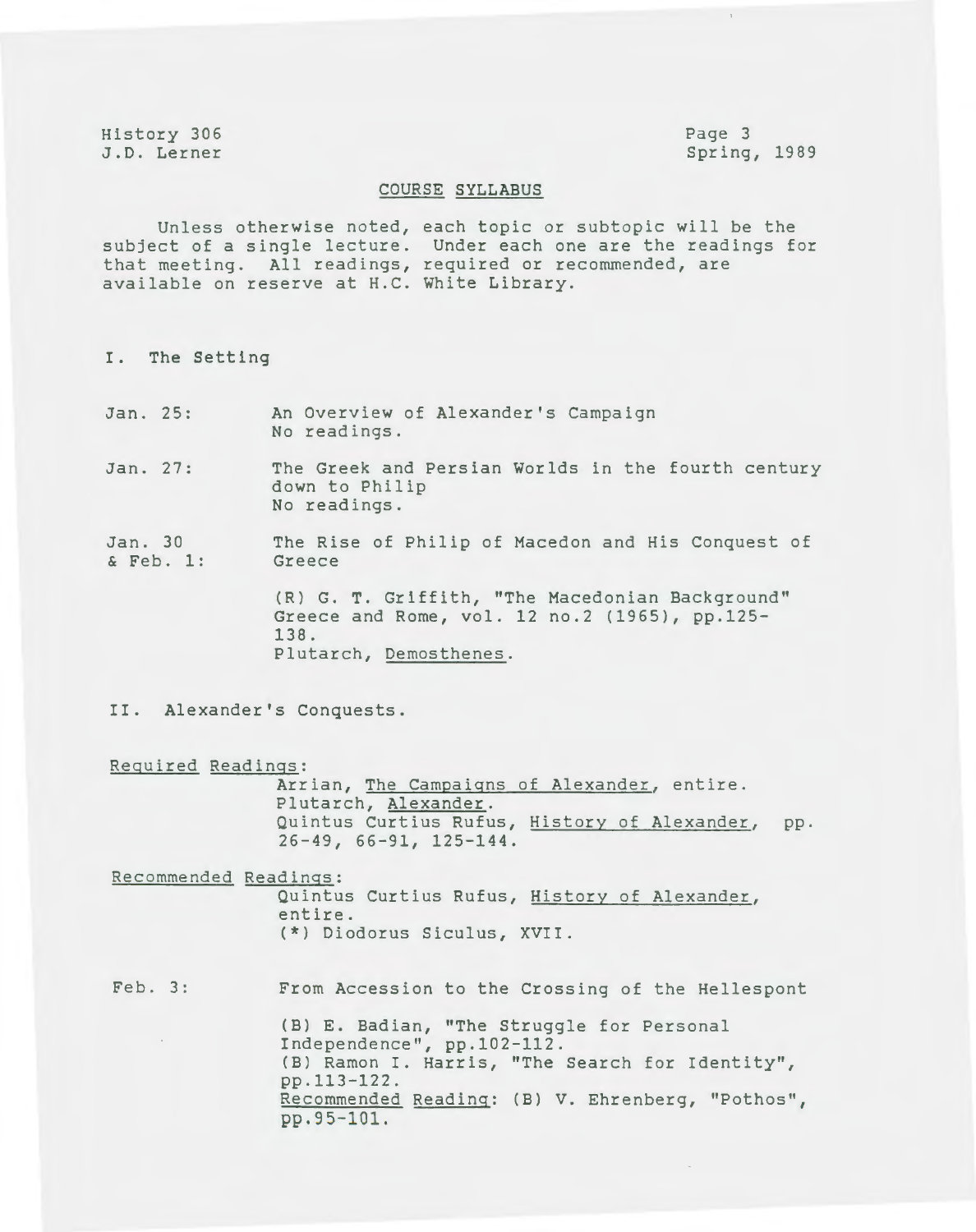History 306 J.D. Lerner Page 3 Spring, 1989

### COURSE SYLLABUS

Unless otherwise noted, each topic or subtopic will be the subject of a single lecture. that meeting. All readings, available on reserve at H.C. White Library. Under each one are the readings for required or recommended, are

I. The Setting

- Jan. 25: An Overview of Alexander's Campaign No readings.
- Jan. 27: The Greek and Persian Worlds in the fourth century down to Philip No readings.

Jan. 30 & Feb. 1: The Rise of Philip of Macedon and His Conquest of Greece

> (R) G. T. Griffith, "The Macedonian Background" Greece and Rome, vol. 12 no.2 (1965), pp.125- 138. Plutarch, Demosthenes.

II. Alexander's Conquests.

Required Readings:

Arrian, The Campaigns of Alexander, entire. Plutarch, Alexander. Quintus Curtius Rufus, History of Alexander, pp. 26-49, 66-91, 125-144.

Recommended Readings:

Quintus Curtius Rufus, History of Alexander, entire. (\*) Diodorus Siculus, XVII.

Feb. 3: From Accession to the Crossing of the Hellespont (B) E. Badian, "The Struggle for Personal Independence", pp.102-112. (B) Ramon I. Harris, "The Search for Identity",

> pp.113-122. Recommended Reading: (B) V. Ehrenberg, "Pathos", pp.95-101.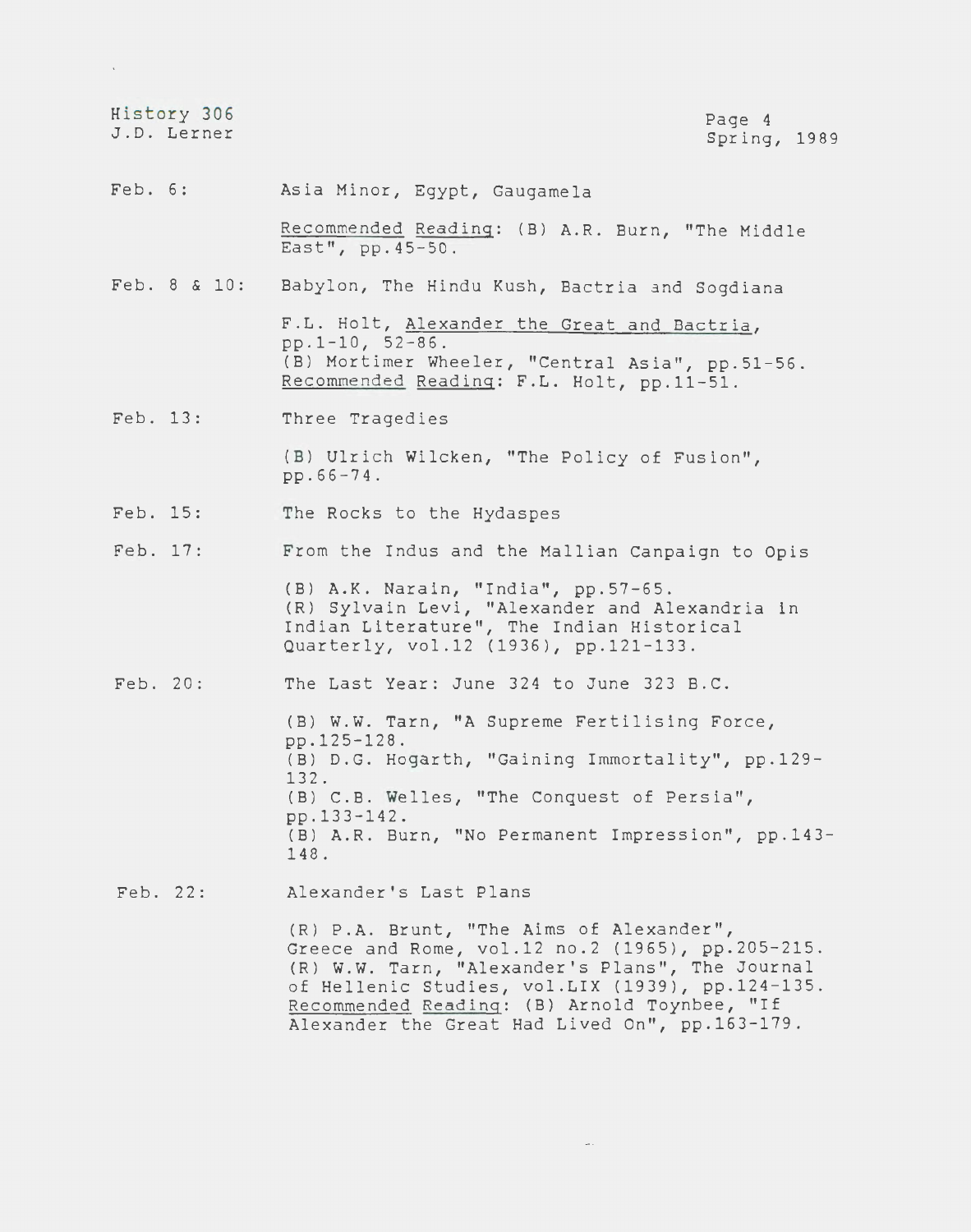|          | History 306<br>J.D. Lerner | Page 4<br>Spring, 1989                                                                                                                                                                                                                                                                                |
|----------|----------------------------|-------------------------------------------------------------------------------------------------------------------------------------------------------------------------------------------------------------------------------------------------------------------------------------------------------|
| Feb. 6:  |                            | Asia Minor, Egypt, Gaugamela                                                                                                                                                                                                                                                                          |
|          |                            | Recommended Reading: (B) A.R. Burn, "The Middle<br>East", pp. 45-50.                                                                                                                                                                                                                                  |
|          | Feb. 8 & 10:               | Babylon, The Hindu Kush, Bactria and Sogdiana                                                                                                                                                                                                                                                         |
|          |                            | F.L. Holt, Alexander the Great and Bactria,<br>$pp.1-10, 52-86.$<br>(B) Mortimer Wheeler, "Central Asia", pp.51-56.<br>Recommended Reading: F.L. Holt, pp.11-51.                                                                                                                                      |
| Feb. 13: |                            | Three Tragedies                                                                                                                                                                                                                                                                                       |
|          |                            | (B) Ulrich Wilcken, "The Policy of Fusion",<br>$pp.66 - 74.$                                                                                                                                                                                                                                          |
| Feb. 15: |                            | The Rocks to the Hydaspes                                                                                                                                                                                                                                                                             |
| Feb. 17: |                            | From the Indus and the Mallian Canpaign to Opis                                                                                                                                                                                                                                                       |
|          |                            | (B) A.K. Narain, "India", pp.57-65.<br>(R) Sylvain Levi, "Alexander and Alexandria in<br>Indian Literature", The Indian Historical<br>Quarterly, vol.12 (1936), pp.121-133.                                                                                                                           |
| Feb. 20: |                            | The Last Year: June 324 to June 323 B.C.                                                                                                                                                                                                                                                              |
|          |                            | (B) W.W. Tarn, "A Supreme Fertilising Force,<br>pp.125-128.<br>(B) D.G. Hogarth, "Gaining Immortality", pp.129-<br>132.<br>(B) C.B. Welles, "The Conquest of Persia",<br>pp.133-142.<br>(B) A.R. Burn, "No Permanent Impression", pp.143-<br>148.                                                     |
| Feb. 22: |                            | Alexander's Last Plans                                                                                                                                                                                                                                                                                |
|          |                            | (R) P.A. Brunt, "The Aims of Alexander",<br>Greece and Rome, vol.12 no.2 (1965), pp.205-215.<br>(R) W.W. Tarn, "Alexander's Plans", The Journal<br>of Hellenic Studies, vol.LIX (1939), pp.124-135.<br>Recommended Reading: (B) Arnold Toynbee, "If<br>Alexander the Great Had Lived On", pp.163-179. |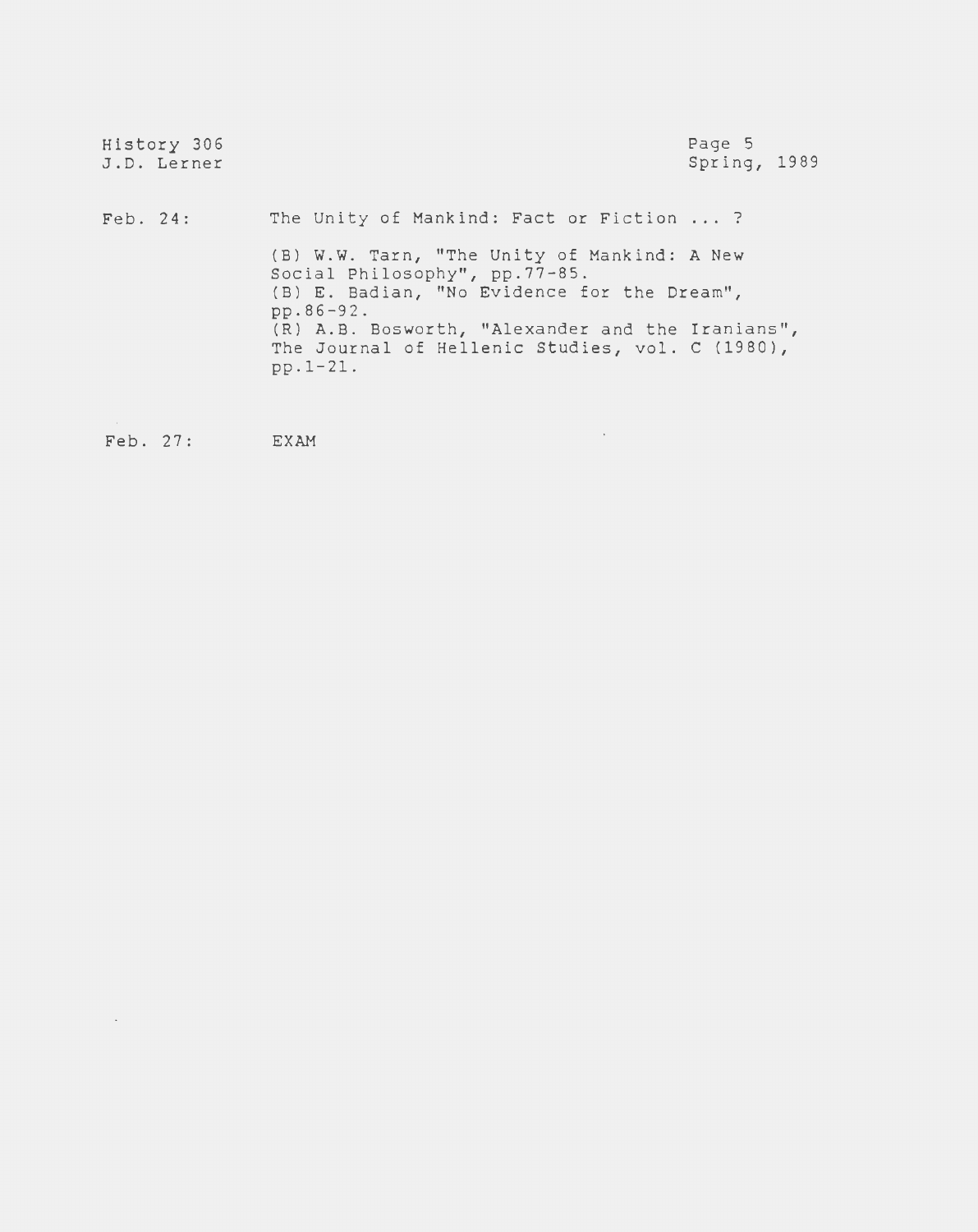| History 306<br>J.D. Lerner |                                                                                                                                                                                                                                                                                                           | Page 5<br>Spring, 1989 |
|----------------------------|-----------------------------------------------------------------------------------------------------------------------------------------------------------------------------------------------------------------------------------------------------------------------------------------------------------|------------------------|
| $\text{Feb. } 24$ :        | The Unity of Mankind: Fact or Fiction  ?<br>(B) W.W. Tarn, "The Unity of Mankind: A New<br>Social Philosophy", pp.77-85.<br>(B) E. Badian, "No Evidence for the Dream",<br>pp.86-92.<br>(R) A.B. Bosworth, "Alexander and the Iranians",<br>The Journal of Hellenic Studies, vol. C (1980),<br>$pp.1-21.$ |                        |

 $\label{eq:2.1} \frac{1}{\sqrt{2}}\int_{0}^{\pi} \frac{1}{\sqrt{2\pi}}\left(\frac{1}{\sqrt{2\pi}}\right)^{2\pi} \frac{1}{\sqrt{2\pi}}\int_{0}^{\pi}\frac{1}{\sqrt{2\pi}}\left(\frac{1}{\sqrt{2\pi}}\right)^{2\pi} \frac{1}{\sqrt{2\pi}}\frac{1}{\sqrt{2\pi}}\int_{0}^{\pi}\frac{1}{\sqrt{2\pi}}\frac{1}{\sqrt{2\pi}}\frac{1}{\sqrt{2\pi}}\frac{1}{\sqrt{2\pi}}\frac{1}{\sqrt{2\pi}}\frac{1}{\sqrt{2\pi}}$ 

Feb. 27: EXAM

 $\mathcal{A}^{\mathcal{A}}$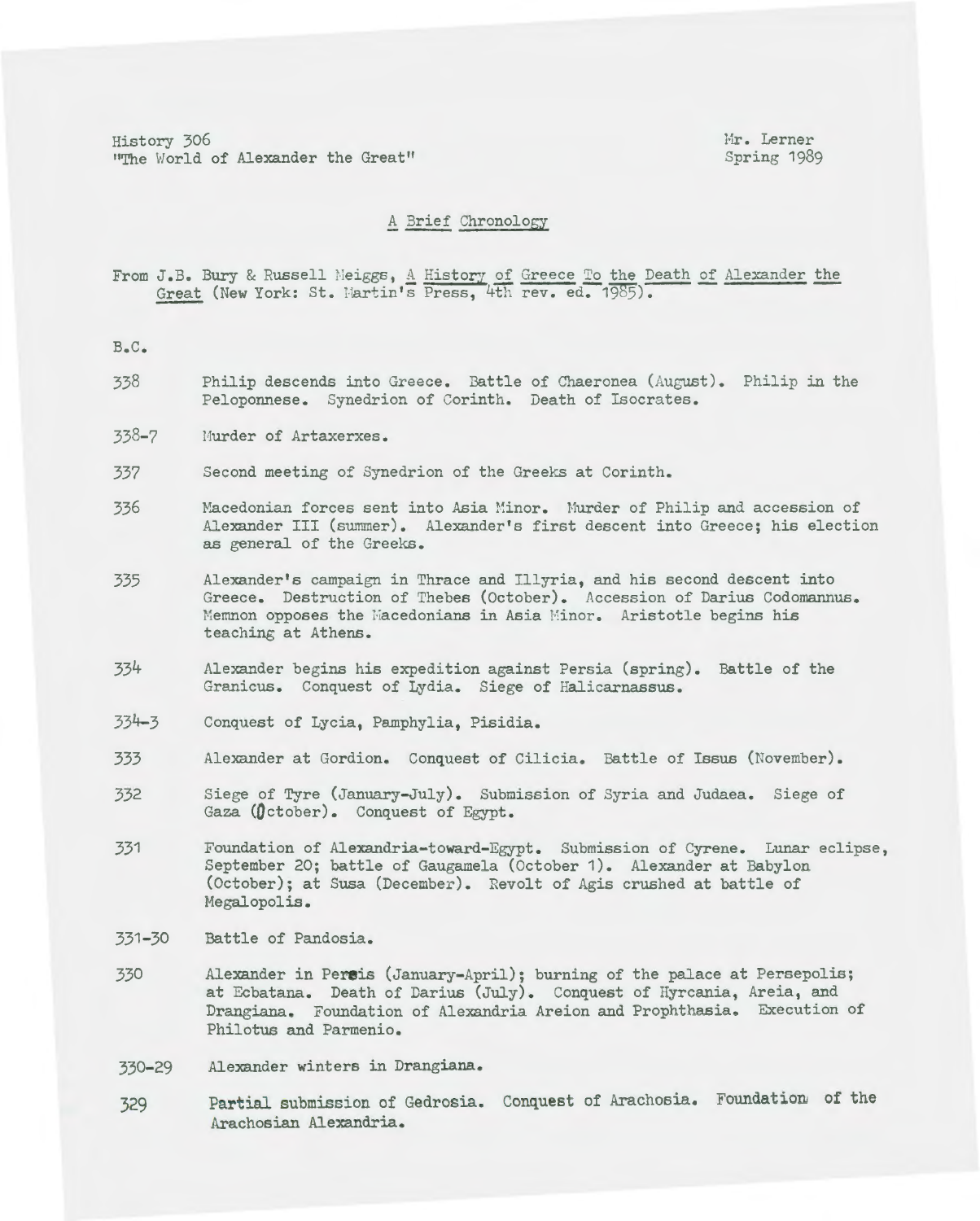History 306 Mr. Lerner<br>
He World of Alexander the Great" Spring 1989 "The World of Alexander the Great"

### A 3rief Chronology

From J.B. Bury & Russell Meiggs, A History of Greece To the Death of Alexander the Great (New York: St. Martin's Press, 4th rev. ed. 1985).

B.C.

- 338 Philip descends into Greece. Battle of Chaeronea (August). Philip in the Peloponnese. Synedrion of Corinth. Death of Isocrates.
- 338-7 Murder of Artaxerxes.
- 337 Second meeting of Synedrion of the Greeks at Corinth.
- 336 Macedonian forces sent into Asia Minor. Murder of Philip and accession of Alexander III (summer). Alexander's first descent into Greece; his election as general of the Greeks.
- 335 Alexander's campaign in Thrace and Illyria, and his second descent into Greece. Destruction of Thebes (October). Accession of Darius Codomannus. Memnon opposes the Macedonians in Asia Minor. Aristotle begins his teaching at Athens.
- 334 Alexander begins his expedition against Persia (spring). Battle of the Granicus. Conquest of Lydia. Siege of Halicarnassus.
- 334-3 Conquest of Lycia, Pamphylia, Pisidia.
- 333 Alexander at Gordian. Conquest of Cilicia. Battle of Issus (November).
- 332 Siege of Tyre (January-July). Submission of Syria and Judaea. Siege of Gaza (October). Conquest of Egypt.
- 331 Foundation of Alexandria-toward-Egypt. Submission of Cyrene. Lunar eclipse, September 20; battle of Gaugamela (October 1). Alexander at Babylon (October); at Susa (December). Revolt of Agis crushed at battle of Megalopolis.
- 331-30 Battle of Pandosia.
- 330 Alexander in Pereis (January-April); burning of the palace at Persepolis; at Ecbatana. Death of Darius (July). Conquest of Hyrcania, Areia, and Drangiana. Foundation of Alexandria Areion and Prophthasia. Execution of Philotus and Parmenio.
- 330-29 Alexander winters in Drangiana.
- 329 Partial submission of Gedrosia. Conquest of Arachosia. Foundatioru of the Arachosian Alexandria.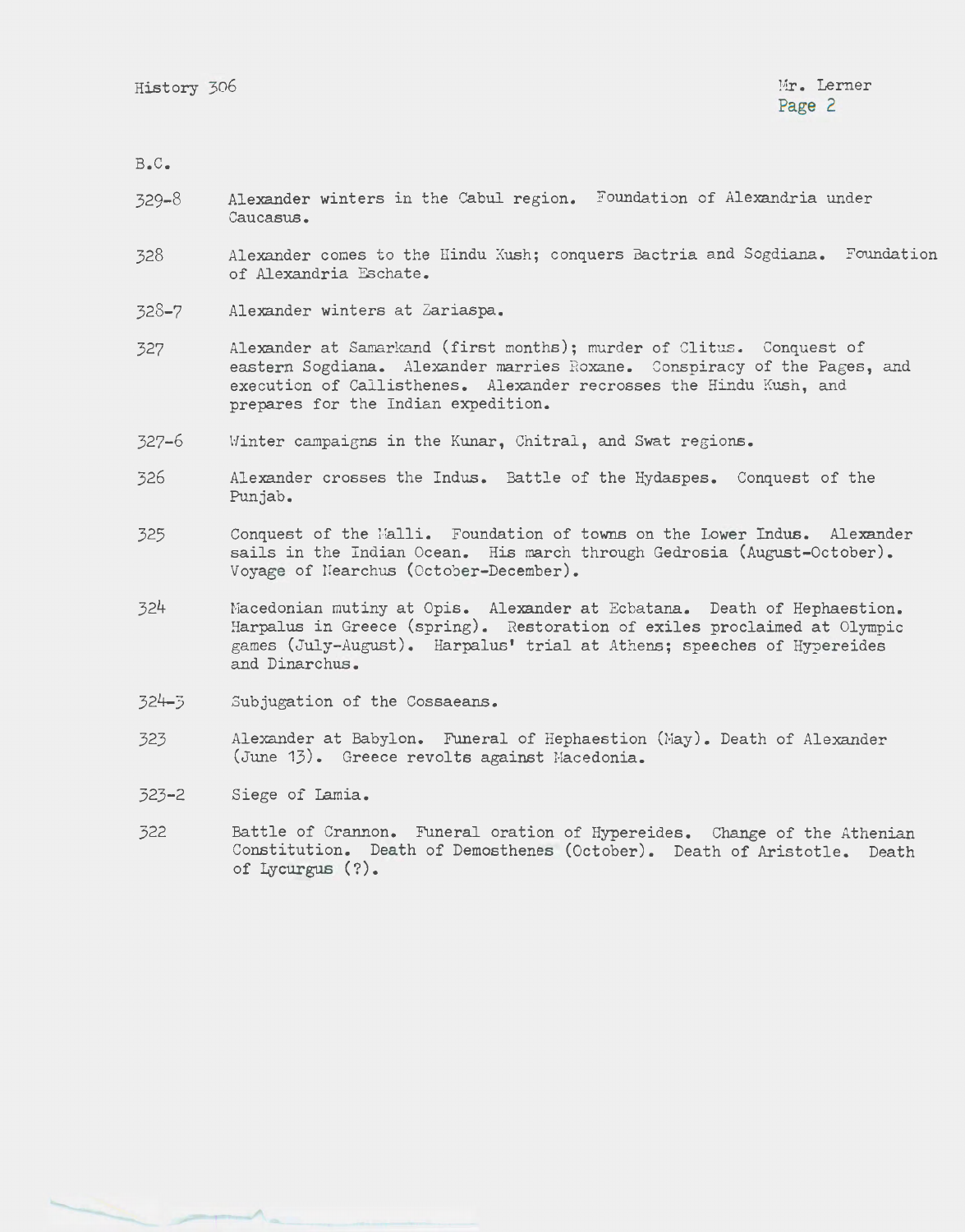B.C.

- 329-8 Alexander winters in the Cabul region. Foundation of Alexandria under Caucasus.
- 328 Alexander comes to the Hindu Kush; conquers Bactria and Sogdiana. Foundation of Alexandria Eschate.
- 328-7 Alexander winters at Zariaspa.
- 327 Alexander at Samarkand (first months); murder of Clitus. Conquest of eastern Sogdiana. Alexander marries Roxane. Conspiracy of the Pages, and execution of Callisthenes. Alexander recrosses the Hindu Kush, and prepares for the Indian expedition.
- 327-6 \'linter campaiens in the Kunar, Chitral, and Swat regions.
- 326 Alexander crosses the Indus. Battle of the Hydaspes. Conquest of the Punjab.
- 325 Conquest of the l·ialli. Foundation of towns on the Lower Indus. Alexander sails in the Indian Ocean. His march through Gedrosia (August-October). Voyage of Nearchus (October-December).
- 324 Macedonian mutiny at Opis. Alexander at Ecbatana. Death of Hephaestion. Harpalus in Greece (spring). Restoration of exiles proclaimed at Olympic games (July-August). Harpalus' trial at Athens; speeches of Hypereides and Dinarchus.
- 324-3 Subjugation of the Cossaeans.
- 323 Alexander at Babylon. Funeral of Hephaestion (Hay). Death of Alexander (June 13). Greece revolts against Hacedonia.
- 323-2 Siege of Lamia.
- 322 Battle of Crannon. Funeral oration of Hypereides. Change of the Athenian Constitution. Death of Demosthenes (October). Death of Aristotle. Death of Lycurgus (?).